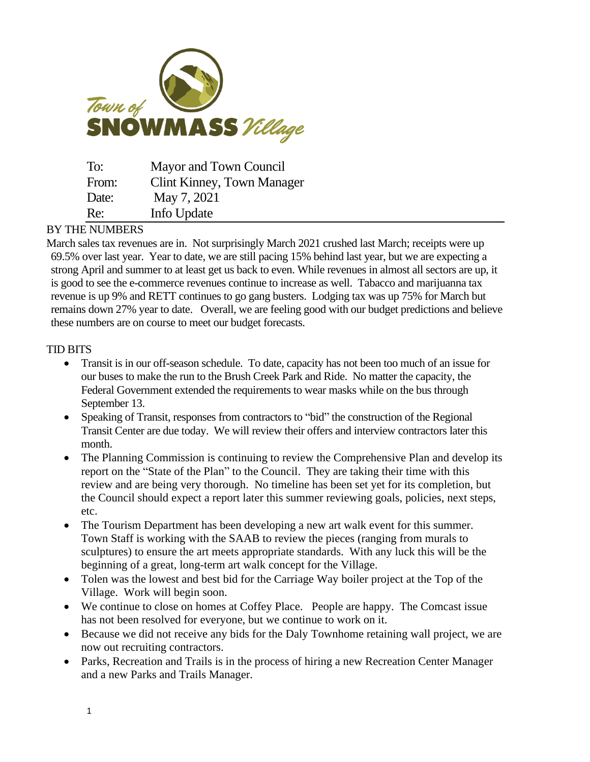

| To:   | Mayor and Town Council     |
|-------|----------------------------|
| From: | Clint Kinney, Town Manager |
| Date: | May 7, 2021                |
| Re:   | Info Update                |

## BY THE NUMBERS

March sales tax revenues are in. Not surprisingly March 2021 crushed last March; receipts were up 69.5% over last year. Year to date, we are still pacing 15% behind last year, but we are expecting a strong April and summer to at least get us back to even. While revenues in almost all sectors are up, it is good to see the e-commerce revenues continue to increase as well. Tabacco and marijuanna tax revenue is up 9% and RETT continues to go gang busters. Lodging tax was up 75% for March but remains down 27% year to date. Overall, we are feeling good with our budget predictions and believe these numbers are on course to meet our budget forecasts.

## TID BITS

- Transit is in our off-season schedule. To date, capacity has not been too much of an issue for our buses to make the run to the Brush Creek Park and Ride. No matter the capacity, the Federal Government extended the requirements to wear masks while on the bus through September 13.
- Speaking of Transit, responses from contractors to "bid" the construction of the Regional Transit Center are due today. We will review their offers and interview contractors later this month.
- The Planning Commission is continuing to review the Comprehensive Plan and develop its report on the "State of the Plan" to the Council. They are taking their time with this review and are being very thorough. No timeline has been set yet for its completion, but the Council should expect a report later this summer reviewing goals, policies, next steps, etc.
- The Tourism Department has been developing a new art walk event for this summer. Town Staff is working with the SAAB to review the pieces (ranging from murals to sculptures) to ensure the art meets appropriate standards. With any luck this will be the beginning of a great, long-term art walk concept for the Village.
- Tolen was the lowest and best bid for the Carriage Way boiler project at the Top of the Village. Work will begin soon.
- We continue to close on homes at Coffey Place. People are happy. The Comcast issue has not been resolved for everyone, but we continue to work on it.
- Because we did not receive any bids for the Daly Townhome retaining wall project, we are now out recruiting contractors.
- Parks, Recreation and Trails is in the process of hiring a new Recreation Center Manager and a new Parks and Trails Manager.